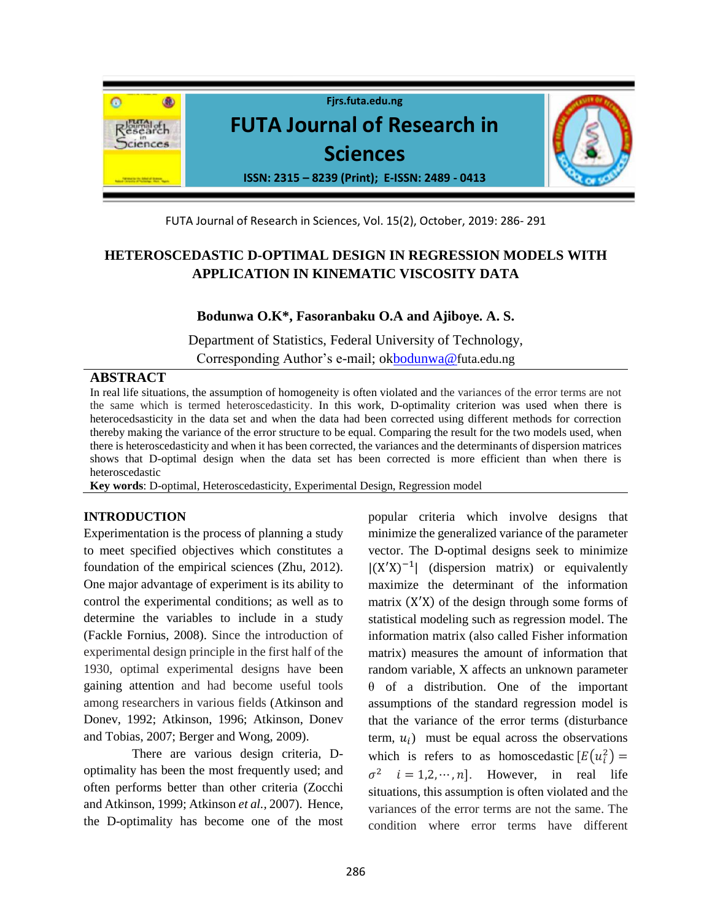

FUTA Journal of Research in Sciences, Vol. 15(2), October, 2019: 286- 291

# **HETEROSCEDASTIC D-OPTIMAL DESIGN IN REGRESSION MODELS WITH APPLICATION IN KINEMATIC VISCOSITY DATA**

## **Bodunwa O.K\*, Fasoranbaku O.A and Ajiboye. A. S.**

Department of Statistics, Federal University of Technology, Corresponding Author's e-mail; o[kbodunwa@](about:blank)futa.edu.ng

## **ABSTRACT**

In real life situations, the assumption of homogeneity is often violated and the variances of the error terms are not the same which is termed heteroscedasticity. In this work, D-optimality criterion was used when there is heterocedsasticity in the data set and when the data had been corrected using different methods for correction thereby making the variance of the error structure to be equal. Comparing the result for the two models used, when there is heteroscedasticity and when it has been corrected, the variances and the determinants of dispersion matrices shows that D-optimal design when the data set has been corrected is more efficient than when there is heteroscedastic

**Key words**: D-optimal, Heteroscedasticity, Experimental Design, Regression model

## **INTRODUCTION**

Experimentation is the process of planning a study to meet specified objectives which constitutes a foundation of the empirical sciences (Zhu, 2012). One major advantage of experiment is its ability to control the experimental conditions; as well as to determine the variables to include in a study (Fackle Fornius, 2008). Since the introduction of experimental design principle in the first half of the 1930, optimal experimental designs have been gaining attention and had become useful tools among researchers in various fields (Atkinson and Donev, 1992; Atkinson, 1996; Atkinson, Donev and Tobias, 2007; Berger and Wong, 2009).

 There are various design criteria, Doptimality has been the most frequently used; and often performs better than other criteria (Zocchi and Atkinson, 1999; Atkinson *et al.,* 2007). Hence, the D-optimality has become one of the most popular criteria which involve designs that minimize the generalized variance of the parameter vector. The D-optimal designs seek to minimize  $|(X'X)^{-1}|$  (dispersion matrix) or equivalently maximize the determinant of the information matrix (X ′X) of the design through some forms of statistical modeling such as regression model. The information matrix (also called Fisher information matrix) measures the amount of information that random variable, X affects an unknown parameter θ of a distribution. One of the important assumptions of the standard regression model is that the variance of the error terms (disturbance term,  $u_i$ ) must be equal across the observations which is refers to as homoscedastic  $[E(u_i^2)]$  $\sigma^2$   $i = 1, 2, \dots, n$ . However, in real life situations, this assumption is often violated and the variances of the error terms are not the same. The condition where error terms have different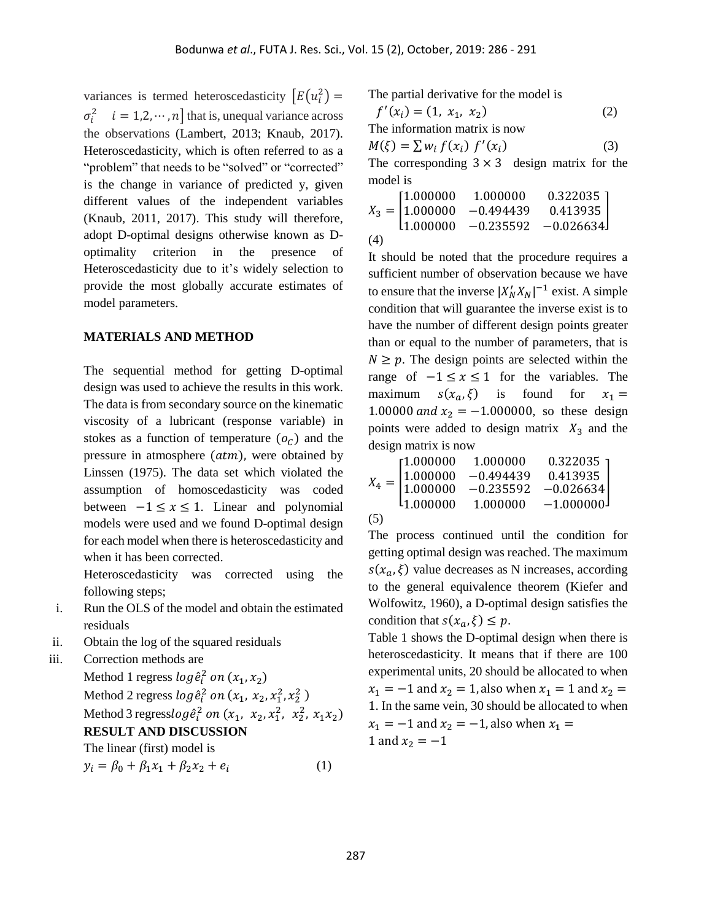variances is termed heteroscedasticity  $\left[E(u_i^2)\right]$  $\sigma_i^2$   $i = 1, 2, \dots, n$  that is, unequal variance across the observations (Lambert, 2013; Knaub, 2017). Heteroscedasticity, which is often referred to as a "problem" that needs to be "solved" or "corrected" is the change in variance of predicted y, given different values of the independent variables (Knaub, 2011, 2017). This study will therefore, adopt D-optimal designs otherwise known as Doptimality criterion in the presence of Heteroscedasticity due to it's widely selection to provide the most globally accurate estimates of model parameters.

#### **MATERIALS AND METHOD**

The sequential method for getting D-optimal design was used to achieve the results in this work. The data is from secondary source on the kinematic viscosity of a lubricant (response variable) in stokes as a function of temperature  $(o<sub>c</sub>)$  and the pressure in atmosphere  $(atm)$ , were obtained by Linssen (1975). The data set which violated the assumption of homoscedasticity was coded between  $-1 \le x \le 1$ . Linear and polynomial models were used and we found D-optimal design for each model when there is heteroscedasticity and when it has been corrected.

Heteroscedasticity was corrected using the following steps;

- i. Run the OLS of the model and obtain the estimated residuals
- ii. Obtain the log of the squared residuals
- iii. Correction methods are Method 1 regress  $log \hat{e}_i^2$  on  $(x_1, x_2)$ Method 2 regress  $log \hat{e}_i^2$  on  $(x_1, x_2, x_1^2, x_2^2)$ Method 3 regress $log \hat{e}_i^2$  on  $(x_1, x_2, x_1^2, x_2^2, x_1x_2)$ **RESULT AND DISCUSSION** The linear (first) model is

$$
y_i = \beta_0 + \beta_1 x_1 + \beta_2 x_2 + e_i \tag{1}
$$

The partial derivative for the model is

$$
f'(x_i) = (1, x_1, x_2)
$$
  
The information matrix is now  

$$
M(\xi) = \sum w_i f(x_i) f'(x_i)
$$
 (3)

The corresponding  $3 \times 3$  design matrix for the model is

$$
X_3 = \begin{bmatrix} 1.000000 & 1.000000 & 0.322035 \\ 1.000000 & -0.494439 & 0.413935 \\ 1.000000 & -0.235592 & -0.026634 \end{bmatrix}
$$
  
(4)

It should be noted that the procedure requires a sufficient number of observation because we have to ensure that the inverse  $|X'_N X_N|^{-1}$  exist. A simple condition that will guarantee the inverse exist is to have the number of different design points greater than or equal to the number of parameters, that is  $N \geq p$ . The design points are selected within the range of  $-1 \le x \le 1$  for the variables. The maximum  $s(x_a, \xi)$  is found for  $x_1 =$ 1.00000 and  $x_2 = -1.000000$ , so these design points were added to design matrix  $X_3$  and the design matrix is now

$$
X_4 = \begin{bmatrix} 1.000000 & 1.000000 & 0.322035 \\ 1.000000 & -0.494439 & 0.413935 \\ 1.000000 & -0.235592 & -0.026634 \\ 1.000000 & 1.000000 & -1.000000 \end{bmatrix}
$$

The process continued until the condition for getting optimal design was reached. The maximum  $s(x_a, \xi)$  value decreases as N increases, according to the general equivalence theorem (Kiefer and Wolfowitz, 1960), a D-optimal design satisfies the condition that  $s(x_a, \xi) \leq p$ .

Table 1 shows the D-optimal design when there is heteroscedasticity. It means that if there are 100 experimental units, 20 should be allocated to when  $x_1 = -1$  and  $x_2 = 1$ , also when  $x_1 = 1$  and  $x_2 =$ 1. In the same vein, 30 should be allocated to when  $x_1 = -1$  and  $x_2 = -1$ , also when  $x_1 =$ 1 and  $x_2 = -1$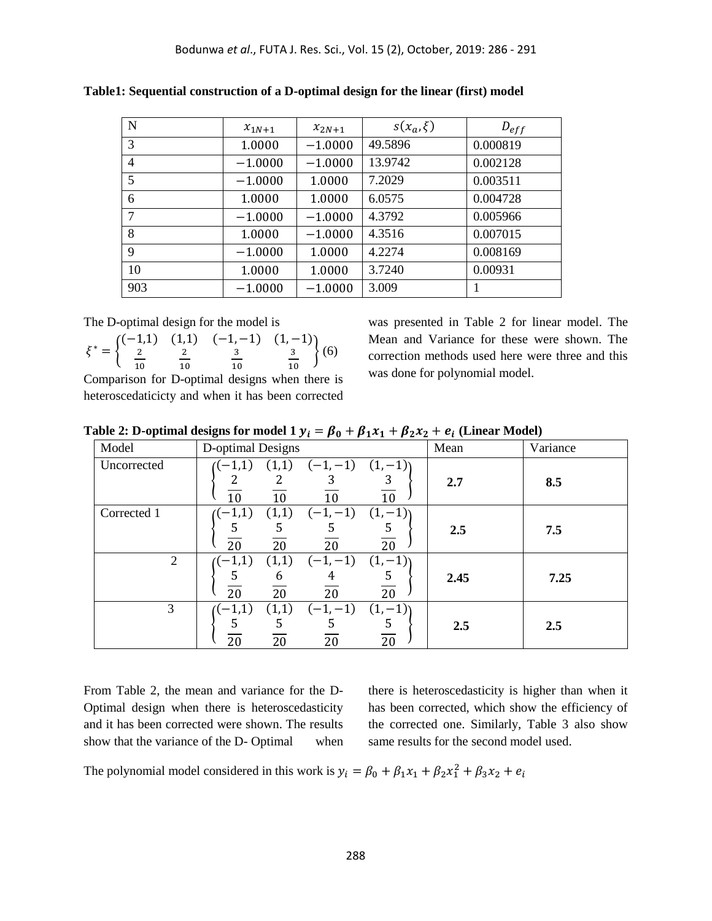| N              | $x_{1N+1}$ | $x_{2N+1}$ | $s(x_a,\xi)$ | $D_{eff}$ |
|----------------|------------|------------|--------------|-----------|
| 3              | 1.0000     | $-1.0000$  | 49.5896      | 0.000819  |
| $\overline{4}$ | $-1.0000$  | $-1.0000$  | 13.9742      | 0.002128  |
| 5              | $-1.0000$  | 1.0000     | 7.2029       | 0.003511  |
| 6              | 1.0000     | 1.0000     | 6.0575       | 0.004728  |
| 7              | $-1.0000$  | $-1.0000$  | 4.3792       | 0.005966  |
| 8              | 1.0000     | $-1.0000$  | 4.3516       | 0.007015  |
| 9              | $-1.0000$  | 1.0000     | 4.2274       | 0.008169  |
| 10             | 1.0000     | 1.0000     | 3.7240       | 0.00931   |
| 903            | $-1.0000$  | $-1.0000$  | 3.009        |           |

**Table1: Sequential construction of a D-optimal design for the linear (first) model** 

The D-optimal design for the model is

 $\xi^* = \{$ (−1,1) (1,1) 2 10 2 10  $(-1, -1)$   $(1, -1)$ 3 10 3 10  $(6)$ 

Comparison for D-optimal designs when there is heteroscedaticicty and when it has been corrected was presented in Table 2 for linear model. The Mean and Variance for these were shown. The correction methods used here were three and this was done for polynomial model.

Table 2: D-optimal designs for model 1  $y_i = \beta_0 + \beta_1 x_1 + \beta_2 x_2 + e_i$  (Linear Model)

| Model          | D-optimal Designs                                               |                     | Mean | Variance |
|----------------|-----------------------------------------------------------------|---------------------|------|----------|
| Uncorrected    | $(-1,-1)$<br>(1,1)<br>$(-1,1)$<br>2<br>2<br>10<br>10<br>10      | $(1,-1)$<br>3<br>10 | 2.7  | 8.5      |
| Corrected 1    | $(-1,-1)$<br>(1,1)<br>$(-1,1)$<br>5<br>5<br>5<br>20<br>20<br>20 | $(1,-1)$<br>5<br>20 | 2.5  | 7.5      |
| $\overline{2}$ | $(-1,-1)$<br>(1,1)<br>$(-1,1)$<br>5<br>6<br>4<br>20<br>20<br>20 | $(1,-1)$<br>5<br>20 | 2.45 | 7.25     |
| 3              | $(-1,-1)$<br>(1,1)<br>$(-1,1)$<br>5<br>5<br>5<br>20<br>20<br>20 | $(1,-1)$<br>5<br>20 | 2.5  | 2.5      |

From Table 2, the mean and variance for the D-Optimal design when there is heteroscedasticity and it has been corrected were shown. The results show that the variance of the D- Optimal when there is heteroscedasticity is higher than when it has been corrected, which show the efficiency of the corrected one. Similarly, Table 3 also show same results for the second model used.

The polynomial model considered in this work is  $y_i = \beta_0 + \beta_1 x_1 + \beta_2 x_1^2 + \beta_3 x_2 + e_i$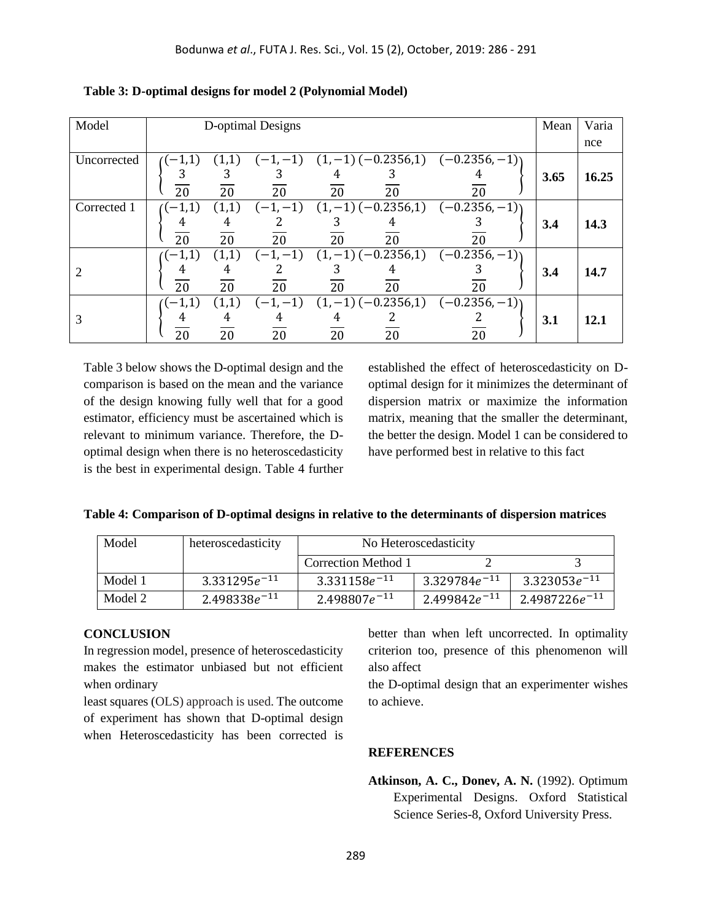| Model       | D-optimal Designs                                             |                                                             | Mean | Varia       |
|-------------|---------------------------------------------------------------|-------------------------------------------------------------|------|-------------|
|             |                                                               |                                                             |      | nce         |
| Uncorrected | (1,1)<br>$((-1,1))$<br>З<br>З<br>۰. 1<br>20<br>20<br>20<br>20 | $(-1,-1)$ $(1,-1)$ $(-0.2356,1)$ $(-0.2356,-1)$<br>20<br>20 | 3.65 | 16.25       |
| Corrected 1 | $((-1,1))$<br>(1,1)<br>4<br>4<br>20<br>20<br>20<br>20         | $(-1,-1)$ $(1,-1)$ $(-0.2356,1)$ $(-0.2356,-1)$<br>20<br>20 | 3.4  | 14.3        |
|             | (1,1)<br>$(-1,1)$<br>4<br>4<br>20<br>20<br>20<br>20           | $(-1,-1)$ $(1,-1)$ $(-0.2356,1)$ $(-0.2356,-1)$<br>20<br>20 | 3.4  | 14.7        |
| 3           | $(-1,1)$<br>(1,1)<br>4<br>4<br>4<br>20<br>20<br>20<br>20      | $(-1,-1)$ $(1,-1)$ $(-0.2356,1)$ $(-0.2356,-1)$<br>20<br>20 | 3.1  | <b>12.1</b> |

**Table 3: D-optimal designs for model 2 (Polynomial Model)**

Table 3 below shows the D-optimal design and the comparison is based on the mean and the variance of the design knowing fully well that for a good estimator, efficiency must be ascertained which is relevant to minimum variance. Therefore, the Doptimal design when there is no heteroscedasticity is the best in experimental design. Table 4 further established the effect of heteroscedasticity on Doptimal design for it minimizes the determinant of dispersion matrix or maximize the information matrix, meaning that the smaller the determinant, the better the design. Model 1 can be considered to have performed best in relative to this fact

|  |  |  | Table 4: Comparison of D-optimal designs in relative to the determinants of dispersion matrices |
|--|--|--|-------------------------------------------------------------------------------------------------|
|  |  |  |                                                                                                 |

| Model   | heteroscedasticity | No Heteroscedasticity |                   |                    |  |
|---------|--------------------|-----------------------|-------------------|--------------------|--|
|         |                    | Correction Method 1   |                   |                    |  |
| Model 1 | $3.331295e^{-11}$  | $3.331158e^{-11}$     | $3.329784e^{-11}$ | $3.323053e^{-11}$  |  |
| Model 2 | $2.498338e^{-11}$  | $2.498807e^{-11}$     | $2.499842e^{-11}$ | $2.4987226e^{-11}$ |  |

#### **CONCLUSION**

In regression model, presence of heteroscedasticity makes the estimator unbiased but not efficient when ordinary

least squares (OLS) approach is used. The outcome of experiment has shown that D-optimal design when Heteroscedasticity has been corrected is

better than when left uncorrected. In optimality criterion too, presence of this phenomenon will also affect

the D-optimal design that an experimenter wishes to achieve.

#### **REFERENCES**

**Atkinson, A. C., Donev, A. N.** (1992). Optimum Experimental Designs. Oxford Statistical Science Series-8, Oxford University Press.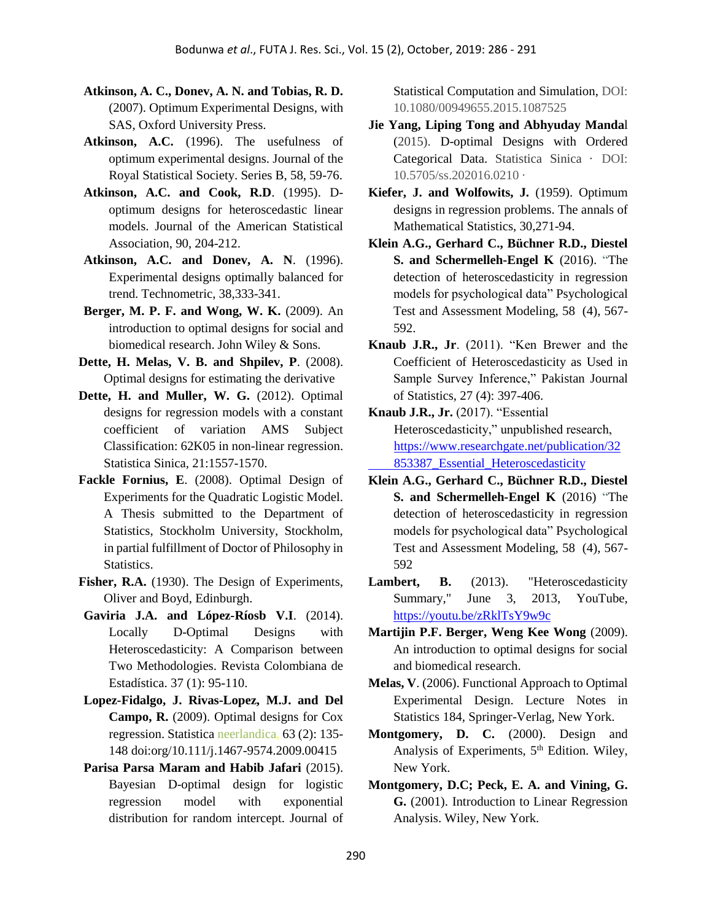- **Atkinson, A. C., Donev, A. N. and Tobias, R. D.** (2007). Optimum Experimental Designs, with SAS, Oxford University Press.
- **Atkinson, A.C.** (1996). The usefulness of optimum experimental designs. Journal of the Royal Statistical Society. Series B, 58, 59-76.
- **Atkinson, A.C. and Cook, R.D**. (1995). Doptimum designs for heteroscedastic linear models. Journal of the American Statistical Association, 90, 204-212.
- **Atkinson, A.C. and Donev, A. N**. (1996). Experimental designs optimally balanced for trend. Technometric, 38,333-341.
- **Berger, M. P. F. and Wong, W. K.** (2009). An introduction to optimal designs for social and biomedical research. John Wiley & Sons.
- **Dette, H. Melas, V. B. and Shpilev, P**. (2008). Optimal designs for estimating the derivative
- **Dette, H. and Muller, W. G.** (2012). Optimal designs for regression models with a constant coefficient of variation AMS Subject Classification: 62K05 in non-linear regression. Statistica Sinica, 21:1557-1570.
- **Fackle Fornius, E**. (2008). Optimal Design of Experiments for the Quadratic Logistic Model. A Thesis submitted to the Department of Statistics, Stockholm University, Stockholm, in partial fulfillment of Doctor of Philosophy in Statistics.
- **Fisher, R.A.** (1930). The Design of Experiments, Oliver and Boyd, Edinburgh.
- **Gaviria J.A. and López-Ríosb V.I**. (2014). Locally D-Optimal Designs with Heteroscedasticity: A Comparison between Two Methodologies. Revista Colombiana de Estadística. 37 (1): 95-110.
- **Lopez-Fidalgo, J. Rivas-Lopez, M.J. and Del Campo, R.** (2009). Optimal designs for Cox regression. Statistica neerlandica, 63 (2): 135- 148 doi:org/10.111/j.1467-9574.2009.00415
- **Parisa Parsa Maram and Habib Jafari** (2015). Bayesian D-optimal design for logistic regression model with exponential distribution for random intercept. Journal of

Statistical Computation and Simulation, DOI: 10.1080/00949655.2015.1087525

- **Jie Yang, Liping Tong and Abhyuday Manda**l (2015). D-optimal Designs with Ordered Categorical Data. Statistica Sinica · DOI: 10.5705/ss.202016.0210 ·
- **Kiefer, J. and Wolfowits, J.** (1959). Optimum designs in regression problems. The annals of Mathematical Statistics, 30,271-94.
- **Klein A.G., Gerhard C., Büchner R.D., Diestel S. and Schermelleh-Engel K** (2016). "The detection of heteroscedasticity in regression models for psychological data" Psychological Test and Assessment Modeling, 58 (4), 567- 592.
- **Knaub J.R., Jr**. (2011). "Ken Brewer and the Coefficient of Heteroscedasticity as Used in Sample Survey Inference," Pakistan Journal of Statistics, 27 (4): 397-406.
- **Knaub J.R., Jr.** (2017). "Essential Heteroscedasticity," unpublished research, [https://www.researchgate.net/publication/32](https://www.researchgate.net/publication/32%20%20%20%20%20%20%20%20853387_Essential_Heteroscedasticity)  [853387\\_Essential\\_Heteroscedasticity](https://www.researchgate.net/publication/32%20%20%20%20%20%20%20%20853387_Essential_Heteroscedasticity)
- **Klein A.G., Gerhard C., Büchner R.D., Diestel S. and Schermelleh-Engel K** (2016) "The detection of heteroscedasticity in regression models for psychological data" Psychological Test and Assessment Modeling, 58 (4), 567- 592
- Lambert, B. (2013). "Heteroscedasticity Summary," June 3, 2013, YouTube, [https://youtu.be/zRklTsY9w9c](about:blank)
- **Martijin P.F. Berger, Weng Kee Wong** (2009). An introduction to optimal designs for social and biomedical research.
- **Melas, V**. (2006). Functional Approach to Optimal Experimental Design. Lecture Notes in Statistics 184, Springer-Verlag, New York.
- **Montgomery, D. C.** (2000). Design and Analysis of Experiments,  $5<sup>th</sup>$  Edition. Wiley, New York.
- **Montgomery, D.C; Peck, E. A. and Vining, G. G.** (2001). Introduction to Linear Regression Analysis. Wiley, New York.